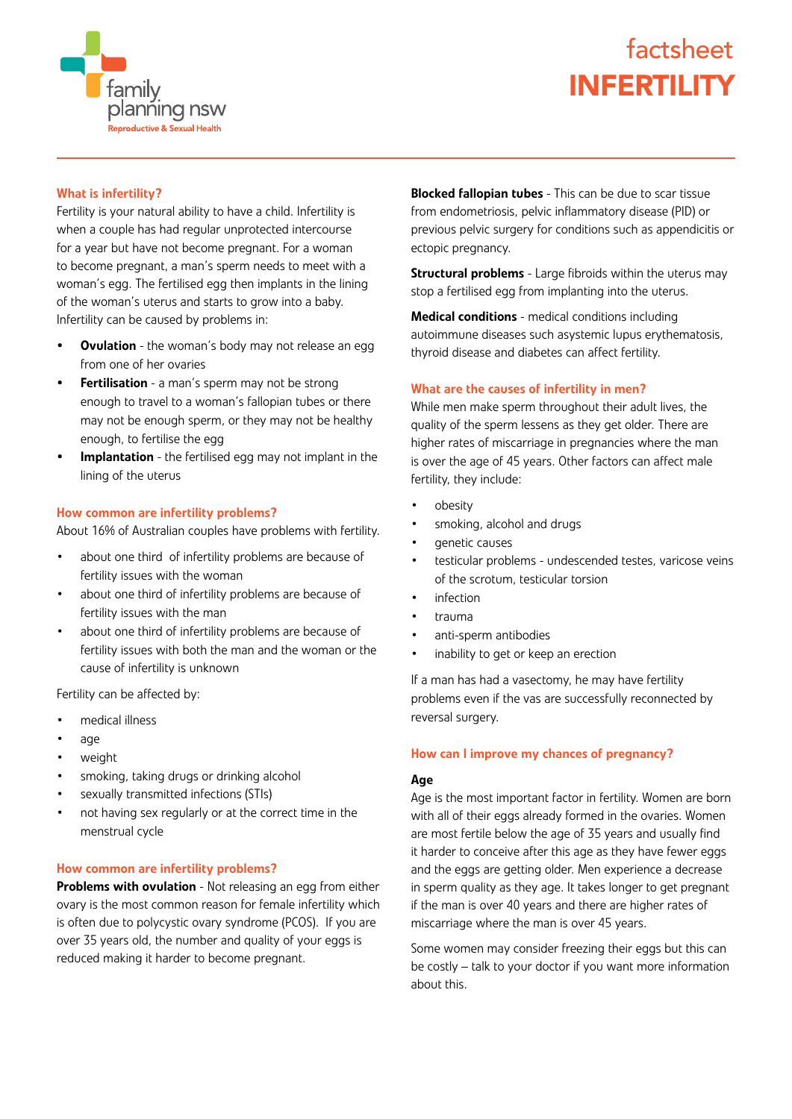

# factsheet INFERTILITY

# What is infertility?

Fertility is your natural ability to have a child. Infertility is when a couple has had regular unprotected intercourse for a year but have not become pregnant. For a woman to become pregnant, a man's sperm needs to meet with a woman's egg. The fertilised egg then implants in the lining of the woman's uterus and starts to grow into a baby. Infertility can be caused by problems in:

- Ovulation the woman's body may not release an egg from one of her ovaries
- Fertilisation a man's sperm may not be strong enough to travel to a woman's fallopian tubes or there may not be enough sperm, or they may not be healthy enough, to fertilise the egg
- Implantation the fertilised egg may not implant in the lining of the uterus

#### How common are infertility problems?

About 16% of Australian couples have problems with fertility.

- about one third of infertility problems are because of fertility issues with the woman
- about one third of infertility problems are because of fertility issues with the man
- about one third of infertility problems are because of fertility issues with both the man and the woman or the cause of infertility is unknown

Fertility can be affected by:

- medical illness
- age
- weight
- smoking, taking drugs or drinking alcohol
- sexually transmitted infections (STIs)
- not having sex regularly or at the correct time in the menstrual cycle

#### How common are infertility problems?

**Problems with ovulation** - Not releasing an egg from either ovary is the most common reason for female infertility which is often due to polycystic ovary syndrome (PCOS). If you are over 35 years old, the number and quality of your eggs is reduced making it harder to become pregnant.

**Blocked fallopian tubes** - This can be due to scar tissue from endometriosis, pelvic inflammatory disease (PID) or previous pelvic surgery for conditions such as appendicitis or ectopic pregnancy.

**Structural problems** - Large fibroids within the uterus may stop a fertilised egg from implanting into the uterus.

Medical conditions - medical conditions including autoimmune diseases such asystemic lupus erythematosis, thyroid disease and diabetes can affect fertility.

#### What are the causes of infertility in men?

While men make sperm throughout their adult lives, the quality of the sperm lessens as they get older. There are higher rates of miscarriage in pregnancies where the man is over the age of 45 years. Other factors can affect male fertility, they include:

- obesity
- smoking, alcohol and drugs
- genetic causes
- testicular problems undescended testes, varicose veins of the scrotum, testicular torsion
- infection
- trauma
- anti-sperm antibodies
- inability to get or keep an erection

If a man has had a vasectomy, he may have fertility problems even if the vas are successfully reconnected by reversal surgery.

# How can I improve my chances of pregnancy?

# Age

Age is the most important factor in fertility. Women are born with all of their eggs already formed in the ovaries. Women are most fertile below the age of 35 years and usually find it harder to conceive after this age as they have fewer eggs and the eggs are getting older. Men experience a decrease in sperm quality as they age. It takes longer to get pregnant if the man is over 40 years and there are higher rates of miscarriage where the man is over 45 years.

Some women may consider freezing their eggs but this can be costly – talk to your doctor if you want more information about this.